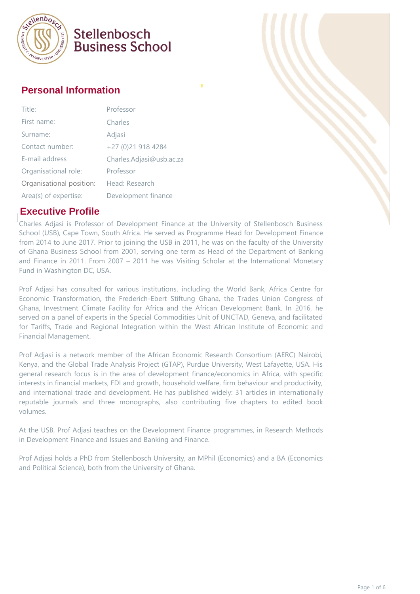

#### **Personal Information**

| Title:                   | Professor                |
|--------------------------|--------------------------|
| First name:              | Charles                  |
| Surname:                 | Adjasi                   |
| Contact number:          | +27 (0)21 918 4284       |
| E-mail address           | Charles.Adjasi@usb.ac.za |
| Organisational role:     | Professor                |
| Organisational position: | Head: Research           |
| Area(s) of expertise:    | Development finance      |

#### **Executive Profile**

Charles Adjasi is Professor of Development Finance at the University of Stellenbosch Business School (USB), Cape Town, South Africa. He served as Programme Head for Development Finance from 2014 to June 2017. Prior to joining the USB in 2011, he was on the faculty of the University of Ghana Business School from 2001, serving one term as Head of the Department of Banking and Finance in 2011. From 2007 – 2011 he was Visiting Scholar at the International Monetary Fund in Washington DC, USA.

Prof Adjasi has consulted for various institutions, including the World Bank, Africa Centre for Economic Transformation, the Frederich-Ebert Stiftung Ghana, the Trades Union Congress of Ghana, Investment Climate Facility for Africa and the African Development Bank. In 2016, he served on a panel of experts in the Special Commodities Unit of UNCTAD, Geneva, and facilitated for Tariffs, Trade and Regional Integration within the West African Institute of Economic and Financial Management.

Prof Adjasi is a network member of the African Economic Research Consortium (AERC) Nairobi, Kenya, and the Global Trade Analysis Project (GTAP), Purdue University, West Lafayette, USA. His general research focus is in the area of development finance/economics in Africa, with specific interests in financial markets, FDI and growth, household welfare, firm behaviour and productivity, and international trade and development. He has published widely: 31 articles in internationally reputable journals and three monographs, also contributing five chapters to edited book volumes.

At the USB, Prof Adjasi teaches on the Development Finance programmes, in Research Methods in Development Finance and Issues and Banking and Finance.

Prof Adjasi holds a PhD from Stellenbosch University, an MPhil (Economics) and a BA (Economics and Political Science), both from the University of Ghana.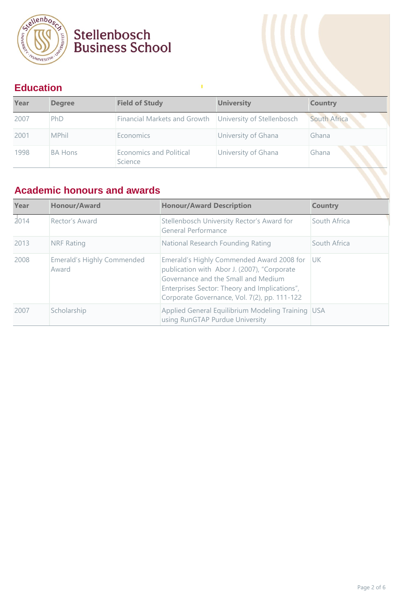

#### **Education**

| Year | <b>Degree</b>  | <b>Field of Study</b>                                     | <b>University</b>   | <b>Country</b>      |
|------|----------------|-----------------------------------------------------------|---------------------|---------------------|
| 2007 | PhD            | Financial Markets and Growth   University of Stellenbosch |                     | <b>South Africa</b> |
| 2001 | <b>MPhil</b>   | Economics                                                 | University of Ghana | Ghana               |
| 1998 | <b>BA Hons</b> | Economics and Political<br>Science                        | University of Ghana | Ghana               |

Ŷ,

#### **Academic honours and awards**

| Year | <b>Honour/Award</b>                 | <b>Honour/Award Description</b>                                                                                                                                                                                                  | <b>Country</b> |
|------|-------------------------------------|----------------------------------------------------------------------------------------------------------------------------------------------------------------------------------------------------------------------------------|----------------|
| 2014 | Rector's Award                      | Stellenbosch University Rector's Award for<br>General Performance                                                                                                                                                                | South Africa   |
| 2013 | <b>NRF Rating</b>                   | National Research Founding Rating                                                                                                                                                                                                | South Africa   |
| 2008 | Emerald's Highly Commended<br>Award | Emerald's Highly Commended Award 2008 for<br>publication with Abor J. (2007), "Corporate<br>Governance and the Small and Medium<br>Enterprises Sector: Theory and Implications",<br>Corporate Governance, Vol. 7(2), pp. 111-122 | -luk           |
| 2007 | Scholarship                         | Applied General Equilibrium Modeling Training USA<br>using RunGTAP Purdue University                                                                                                                                             |                |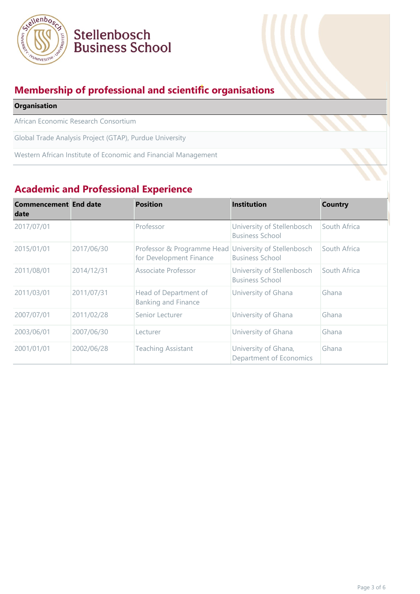

#### **Membership of professional and scientific organisations**

| <b>Organisation</b>                                            |  |
|----------------------------------------------------------------|--|
| African Economic Research Consortium                           |  |
| Global Trade Analysis Project (GTAP), Purdue University        |  |
| Western African Institute of Economic and Financial Management |  |
|                                                                |  |

#### **Academic and Professional Experience**

| <b>Commencement End date</b><br>date |            | <b>Position</b>                                                                  | <b>Institution</b>                                   | <b>Country</b> |
|--------------------------------------|------------|----------------------------------------------------------------------------------|------------------------------------------------------|----------------|
| 2017/07/01                           |            | Professor                                                                        | University of Stellenbosch<br><b>Business School</b> | South Africa   |
| 2015/01/01                           | 2017/06/30 | Professor & Programme Head University of Stellenbosch<br>for Development Finance | <b>Business School</b>                               | South Africa   |
| 2011/08/01                           | 2014/12/31 | Associate Professor                                                              | University of Stellenbosch<br><b>Business School</b> | South Africa   |
| 2011/03/01                           | 2011/07/31 | Head of Department of<br><b>Banking and Finance</b>                              | University of Ghana                                  | Ghana          |
| 2007/07/01                           | 2011/02/28 | Senior Lecturer                                                                  | University of Ghana                                  | Ghana          |
| 2003/06/01                           | 2007/06/30 | Lecturer                                                                         | University of Ghana                                  | Ghana          |
| 2001/01/01                           | 2002/06/28 | Teaching Assistant                                                               | University of Ghana,<br>Department of Economics      | Ghana          |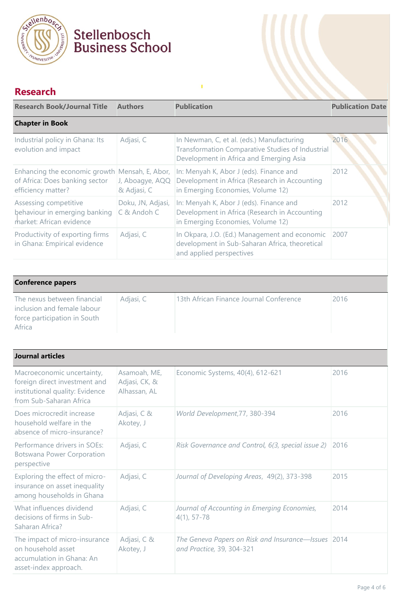

### **Research**

| <b>Research Book/Journal Title</b>                                                                     | <b>Authors</b>                   | <b>Publication</b>                                                                                                                       | <b>Publication Date</b> |
|--------------------------------------------------------------------------------------------------------|----------------------------------|------------------------------------------------------------------------------------------------------------------------------------------|-------------------------|
| <b>Chapter in Book</b>                                                                                 |                                  |                                                                                                                                          |                         |
| Industrial policy in Ghana: Its<br>evolution and impact                                                | Adjasi, C                        | In Newman, C, et al. (eds.) Manufacturing<br>Transformation Comparative Studies of Industrial<br>Development in Africa and Emerging Asia | 2016                    |
| Enhancing the economic growth Mensah, E, Abor,<br>of Africa: Does banking sector<br>efficiency matter? | J, Aboagye, AQQ<br>& Adjasi, C   | In: Menyah K, Abor J (eds). Finance and<br>Development in Africa (Research in Accounting<br>in Emerging Economies, Volume 12)            | 2012                    |
| Assessing competitive<br>behaviour in emerging banking<br>market: African evidence                     | Doku, JN, Adjasi,<br>C & Andoh C | In: Menyah K, Abor J (eds). Finance and<br>Development in Africa (Research in Accounting<br>in Emerging Economies, Volume 12)            | 2012                    |
| Productivity of exporting firms<br>in Ghana: Empirical evidence                                        | Adjasi, C                        | In Okpara, J.O. (Ed.) Management and economic<br>development in Sub-Saharan Africa, theoretical<br>and applied perspectives              | 2007                    |

 $\mathbf{I}$ 

| <b>Conference papers</b>                                                                             |           |                                         |      |  |
|------------------------------------------------------------------------------------------------------|-----------|-----------------------------------------|------|--|
| The nexus between financial<br>inclusion and female labour<br>force participation in South<br>Africa | Adjasi, C | 13th African Finance Journal Conference | 2016 |  |

| <b>Journal articles</b>                                                                                                   |                                               |                                                                                  |      |
|---------------------------------------------------------------------------------------------------------------------------|-----------------------------------------------|----------------------------------------------------------------------------------|------|
| Macroeconomic uncertainty,<br>foreign direct investment and<br>institutional quality: Evidence<br>from Sub-Saharan Africa | Asamoah, ME,<br>Adjasi, CK, &<br>Alhassan, AL | Economic Systems, 40(4), 612-621                                                 | 2016 |
| Does microcredit increase<br>household welfare in the<br>absence of micro-insurance?                                      | Adjasi, C &<br>Akotey, J                      | World Development, 77, 380-394                                                   | 2016 |
| Performance drivers in SOEs:<br><b>Botswana Power Corporation</b><br>perspective                                          | Adjasi, C                                     | Risk Governance and Control, 6(3, special issue 2)                               | 2016 |
| Exploring the effect of micro-<br>insurance on asset inequality<br>among households in Ghana                              | Adjasi, C                                     | Journal of Developing Areas, 49(2), 373-398                                      | 2015 |
| What influences dividend<br>decisions of firms in Sub-<br>Saharan Africa?                                                 | Adjasi, C                                     | Journal of Accounting in Emerging Economies,<br>$4(1), 57 - 78$                  | 2014 |
| The impact of micro-insurance<br>on household asset<br>accumulation in Ghana: An<br>asset-index approach.                 | Adjasi, C &<br>Akotey, J                      | The Geneva Papers on Risk and Insurance-Issues 2014<br>and Practice, 39, 304-321 |      |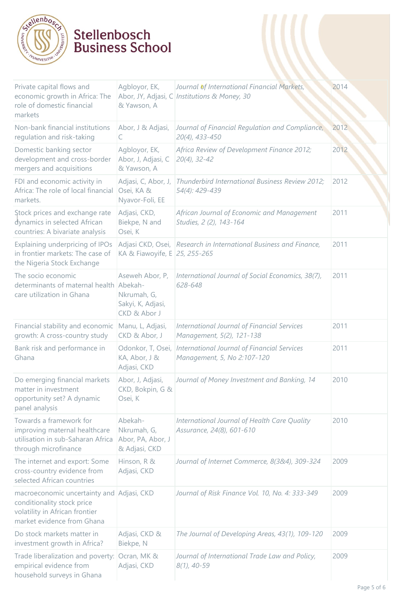

| Private capital flows and<br>economic growth in Africa: The<br>role of domestic financial<br>markets                        | Agbloyor, EK,<br>Abor, JY, Adjasi, C<br>& Yawson, A                 | Journal of International Financial Markets,<br>Institutions & Money, 30           | 2014 |
|-----------------------------------------------------------------------------------------------------------------------------|---------------------------------------------------------------------|-----------------------------------------------------------------------------------|------|
| Non-bank financial institutions<br>regulation and risk-taking                                                               | Abor, J & Adjasi,<br>C                                              | Journal of Financial Regulation and Compliance,<br>20(4), 433-450                 | 2012 |
| Domestic banking sector<br>development and cross-border<br>mergers and acquisitions                                         | Agbloyor, EK,<br>Abor, J, Adjasi, C<br>& Yawson, A                  | Africa Review of Development Finance 2012;<br>$20(4)$ , 32-42                     | 2012 |
| FDI and economic activity in<br>Africa: The role of local financial<br>markets.                                             | Adjasi, C, Abor, J,<br>Osei, KA &<br>Nyavor-Foli, EE                | Thunderbird International Business Review 2012;<br>54(4): 429-439                 | 2012 |
| Stock prices and exchange rate<br>dynamics in selected African<br>countries: A bivariate analysis                           | Adjasi, CKD,<br>Biekpe, N and<br>Osei, K                            | African Journal of Economic and Management<br>Studies, 2 (2), 143-164             | 2011 |
| Explaining underpricing of IPOs<br>in frontier markets: The case of<br>the Nigeria Stock Exchange                           | KA & Fiawoyife, E 25, 255-265                                       | Adjasi CKD, Osei, Research in International Business and Finance,                 | 2011 |
| The socio economic<br>determinants of maternal health Abekah-<br>care utilization in Ghana                                  | Aseweh Abor, P,<br>Nkrumah, G,<br>Sakyi, K, Adjasi,<br>CKD & Abor J | International Journal of Social Economics, 38(7),<br>628-648                      | 2011 |
| Financial stability and economic<br>growth: A cross-country study                                                           | Manu, L, Adjasi,<br>CKD & Abor, J                                   | <b>International Journal of Financial Services</b><br>Management, 5(2), 121-138   | 2011 |
| Bank risk and performance in<br>Ghana                                                                                       | Odonkor, T, Osei,<br>KA, Abor, J &<br>Adjasi, CKD                   | <b>International Journal of Financial Services</b><br>Management, 5, No 2:107-120 | 2011 |
| Do emerging financial markets<br>matter in investment<br>opportunity set? A dynamic<br>panel analysis                       | Abor, J, Adjasi,<br>CKD, Bokpin, G &<br>Osei, K                     | Journal of Money Investment and Banking, 14                                       | 2010 |
| Towards a framework for<br>improving maternal healthcare<br>utilisation in sub-Saharan Africa<br>through microfinance       | Abekah-<br>Nkrumah, G,<br>Abor, PA, Abor, J<br>& Adjasi, CKD        | International Journal of Health Care Quality<br>Assurance, 24(8), 601-610         | 2010 |
| The internet and export: Some<br>cross-country evidence from<br>selected African countries                                  | Hinson, R &<br>Adjasi, CKD                                          | Journal of Internet Commerce, 8(3&4), 309-324                                     | 2009 |
| macroeconomic uncertainty and<br>conditionality stock price<br>volatility in African frontier<br>market evidence from Ghana | Adjasi, CKD                                                         | Journal of Risk Finance Vol. 10, No. 4: 333-349                                   | 2009 |
| Do stock markets matter in<br>investment growth in Africa?                                                                  | Adjasi, CKD &<br>Biekpe, N                                          | The Journal of Developing Areas, 43(1), 109-120                                   | 2009 |
| Trade liberalization and poverty:<br>empirical evidence from<br>household surveys in Ghana                                  | Ocran, MK &<br>Adjasi, CKD                                          | Journal of International Trade Law and Policy,<br>$8(1), 40-59$                   | 2009 |